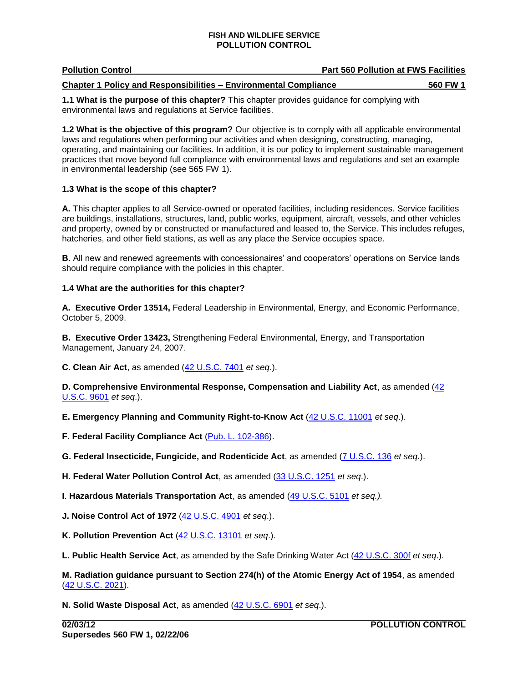| <b>Pollution Control</b> | <b>Part 560 Pollution at FWS Facilities</b> |
|--------------------------|---------------------------------------------|
|                          |                                             |

**Chapter 1 Policy and Responsibilities – Environmental Compliance 560 FW 1** 

**1.1 What is the purpose of this chapter?** This chapter provides guidance for complying with environmental laws and regulations at Service facilities.

 laws and regulations when performing our activities and when designing, constructing, managing, **1.2 What is the objective of this program?** Our objective is to comply with all applicable environmental operating, and maintaining our facilities. In addition, it is our policy to implement sustainable management practices that move beyond full compliance with environmental laws and regulations and set an example in environmental leadership (see 565 FW 1).

# **1.3 What is the scope of this chapter?**

 and property, owned by or constructed or manufactured and leased to, the Service. This includes refuges, hatcheries, and other field stations, as well as any place the Service occupies space. **A.** This chapter applies to all Service-owned or operated facilities, including residences. Service facilities are buildings, installations, structures, land, public works, equipment, aircraft, vessels, and other vehicles

 **B**. All new and renewed agreements with concessionaires' and cooperators' operations on Service lands should require compliance with the policies in this chapter.

# **1.4 What are the authorities for this chapter?**

 **A. Executive Order 13514,** Federal Leadership in Environmental, Energy, and Economic Performance, October 5, 2009.

 Management, January 24, 2007. **B. Executive Order 13423,** Strengthening Federal Environmental, Energy, and Transportation

**C. Clean Air Act**, as amended [\(42 U.S.C. 7401](http://www.fws.gov/scripts/exit-to-fed.cfm?link=http://uscode.house.gov/search/criteria.shtml&linkname=U.S.%20Code%20Search) *et seq*.).

# [U.S.C. 9601](http://www.fws.gov/scripts/exit-to-fed.cfm?link=http://uscode.house.gov/search/criteria.shtml&linkname=U.S.%20Code%20Search) *et seq*.). **D. Comprehensive Environmental Response, Compensation and Liability Act**, as amended [\(42](http://www.fws.gov/scripts/exit-to-fed.cfm?link=http://uscode.house.gov/search/criteria.shtml&linkname=U.S.%20Code%20Search)

 **E. Emergency Planning and Community Right-to-Know Act** [\(42 U.S.C. 11001](http://www.fws.gov/scripts/exit-to-fed.cfm?link=http://uscode.house.gov/search/criteria.shtml&linkname=U.S.%20Code%20Search) *et seq*.).

 **F. Federal Facility Compliance Act** [\(Pub. L. 102-386\)](http://www.fws.gov/scripts/exit-to-fed.cfm?link=http://thomas.loc.gov/bss/d109/d109laws.html&linkname=Library%20of%20Congress%20THOMAS).

 **G. Federal Insecticide, Fungicide, and Rodenticide Act**, as amended [\(7 U.S.C. 136](http://www.fws.gov/scripts/exit-to-fed.cfm?link=http://uscode.house.gov/search/criteria.shtml&linkname=U.S.%20Code%20Search) *et seq*.).

**H. Federal Water Pollution Control Act**, as amended [\(33 U.S.C. 1251](http://www.fws.gov/scripts/exit-to-fed.cfm?link=http://uscode.house.gov/search/criteria.shtml&linkname=U.S.%20Code%20Search) *et seq*.).

**I**. **Hazardous Materials Transportation Act**, as amended [\(49 U.S.C. 5101](http://www.fws.gov/scripts/exit-to-fed.cfm?link=http://uscode.house.gov/search/criteria.shtml&linkname=U.S.%20Code%20Search) *et seq.).* 

**J. Noise Control Act of 1972** [\(42 U.S.C. 4901](http://www.fws.gov/scripts/exit-to-fed.cfm?link=http://uscode.house.gov/search/criteria.shtml&linkname=U.S.%20Code%20Search) *et seq*.).

**K. Pollution Prevention Act** [\(42 U.S.C. 13101](http://www.fws.gov/scripts/exit-to-fed.cfm?link=http://uscode.house.gov/search/criteria.shtml&linkname=U.S.%20Code%20Search) *et seq*.).

 **L. Public Health Service Act**, as amended by the Safe Drinking Water Act [\(42 U.S.C. 300f](http://www.fws.gov/scripts/exit-to-fed.cfm?link=http://uscode.house.gov/search/criteria.shtml&linkname=U.S.%20Code%20Search) *et seq*.).

**M. Radiation guidance pursuant to Section 274(h) of the Atomic Energy Act of 1954**, as amended [\(42 U.S.C. 2021\)](http://www.fws.gov/scripts/exit-to-fed.cfm?link=http://uscode.house.gov/search/criteria.shtml&linkname=U.S.%20Code%20Search).

**N. Solid Waste Disposal Act**, as amended [\(42 U.S.C. 6901](http://www.fws.gov/scripts/exit-to-fed.cfm?link=http://uscode.house.gov/search/criteria.shtml&linkname=U.S.%20Code%20Search) *et seq*.).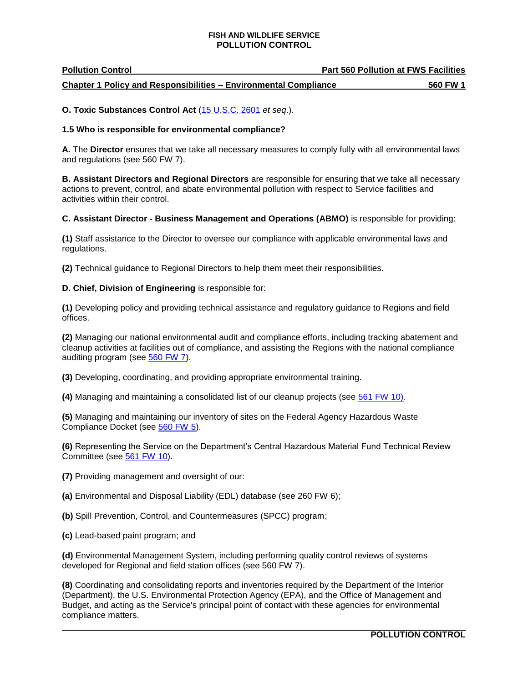| <b>Pollution Control</b>                                                | <b>Part 560 Pollution at FWS Facilities</b> |          |
|-------------------------------------------------------------------------|---------------------------------------------|----------|
| <b>Chapter 1 Policy and Responsibilities - Environmental Compliance</b> |                                             | 560 FW 1 |

**O. Toxic Substances Control Act** [\(15 U.S.C. 2601](http://www.fws.gov/scripts/exit-to-fed.cfm?link=http://uscode.house.gov/search/criteria.shtml&linkname=U.S.%20Code%20Search) *et seq*.).

### **1.5 Who is responsible for environmental compliance?**

 **A.** The **Director** ensures that we take all necessary measures to comply fully with all environmental laws and regulations (see 560 FW 7).

 **B. Assistant Directors and Regional Directors** are responsible for ensuring that we take all necessary actions to prevent, control, and abate environmental pollution with respect to Service facilities and activities within their control.

### **C. Assistant Director - Business Management and Operations (ABMO)** is responsible for providing:

**(1)** Staff assistance to the Director to oversee our compliance with applicable environmental laws and regulations.

**(2)** Technical guidance to Regional Directors to help them meet their responsibilities.

### **D. Chief, Division of Engineering** is responsible for:

**(1)** Developing policy and providing technical assistance and regulatory guidance to Regions and field offices.

 **(2)** Managing our national environmental audit and compliance efforts, including tracking abatement and cleanup activities at facilities out of compliance, and assisting the Regions with the national compliance auditing program (see [560 FW 7\)](http://policy.fws.gov/560fw7.html).

**(3)** Developing, coordinating, and providing appropriate environmental training.

**(4)** Managing and maintaining a consolidated list of our cleanup projects (see [561 FW 10\)](http://www.fws.gov/policy/561fw10.html).

 **(5)** Managing and maintaining our inventory of sites on the Federal Agency Hazardous Waste Compliance Docket (see [560 FW 5\)](http://www.fws.gov/policy/560fw5.html).

**(6)** Representing the Service on the Department's Central Hazardous Material Fund Technical Review Committee (see [561 FW 10\)](http://www.fws.gov/policy/561fw10.html).

**(7)** Providing management and oversight of our:

**(a)** Environmental and Disposal Liability (EDL) database (see 260 FW 6);

- **(b)** Spill Prevention, Control, and Countermeasures (SPCC) program;
- **(c)** Lead-based paint program; and

**(d)** Environmental Management System, including performing quality control reviews of systems developed for Regional and field station offices (see 560 FW 7).

 **(8)** Coordinating and consolidating reports and inventories required by the Department of the Interior (Department), the U.S. Environmental Protection Agency (EPA), and the Office of Management and Budget, and acting as the Service's principal point of contact with these agencies for environmental compliance matters.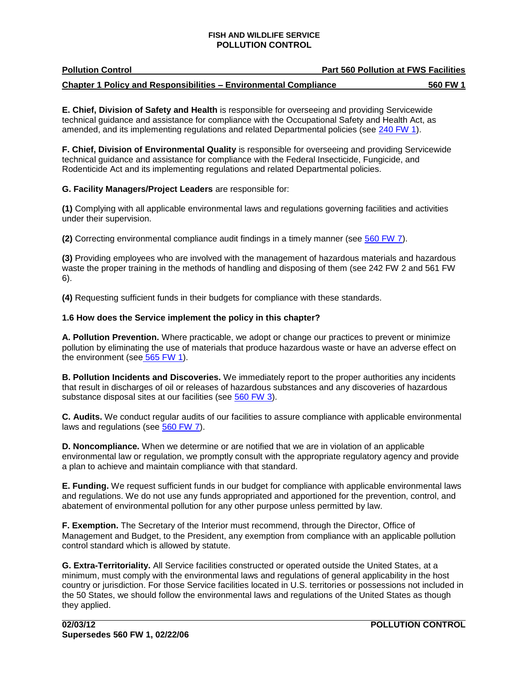| <b>Pollution Control</b>                                                | <b>Part 560 Pollution at FWS Facilities</b> |
|-------------------------------------------------------------------------|---------------------------------------------|
| <b>Chapter 1 Policy and Responsibilities - Environmental Compliance</b> | 560 FW 1                                    |

**E. Chief, Division of Safety and Health** is responsible for overseeing and providing Servicewide technical guidance and assistance for compliance with the Occupational Safety and Health Act, as amended, and its implementing regulations and related Departmental policies (see [240 FW 1\)](http://www.fws.gov/policy/240fw1.html).

 Rodenticide Act and its implementing regulations and related Departmental policies. **F. Chief, Division of Environmental Quality** is responsible for overseeing and providing Servicewide technical guidance and assistance for compliance with the Federal Insecticide, Fungicide, and

# **G. Facility Managers/Project Leaders** are responsible for:

 **(1)** Complying with all applicable environmental laws and regulations governing facilities and activities under their supervision.

**(2)** Correcting environmental compliance audit findings in a timely manner (see [560 FW 7\)](http://www.fws.gov/policy/560fw7.html).

 **(3)** Providing employees who are involved with the management of hazardous materials and hazardous waste the proper training in the methods of handling and disposing of them (see 242 FW 2 and 561 FW 6).

**(4)** Requesting sufficient funds in their budgets for compliance with these standards.

# **1.6 How does the Service implement the policy in this chapter?**

 **A. Pollution Prevention.** Where practicable, we adopt or change our practices to prevent or minimize the environment (see 565 FW 1). pollution by eliminating the use of materials that produce hazardous waste or have an adverse effect on

 **B. Pollution Incidents and Discoveries.** We immediately report to the proper authorities any incidents substance disposal sites at our facilities (see [560 FW 3\)](http://www.fws.gov/policy/560fw3.html). that result in discharges of oil or releases of hazardous substances and any discoveries of hazardous

**C. Audits.** We conduct regular audits of our facilities to assure compliance with applicable environmental laws and regulations (see [560 FW 7](http://www.fws.gov/policy/560fw7.html)).

 environmental law or regulation, we promptly consult with the appropriate regulatory agency and provide **D. Noncompliance.** When we determine or are notified that we are in violation of an applicable a plan to achieve and maintain compliance with that standard.

 **E. Funding.** We request sufficient funds in our budget for compliance with applicable environmental laws and regulations. We do not use any funds appropriated and apportioned for the prevention, control, and abatement of environmental pollution for any other purpose unless permitted by law.

**F. Exemption.** The Secretary of the Interior must recommend, through the Director, Office of Management and Budget, to the President, any exemption from compliance with an applicable pollution control standard which is allowed by statute.

 minimum, must comply with the environmental laws and regulations of general applicability in the host the 50 States, we should follow the environmental laws and regulations of the United States as though **G. Extra-Territoriality.** All Service facilities constructed or operated outside the United States, at a country or jurisdiction. For those Service facilities located in U.S. territories or possessions not included in they applied.